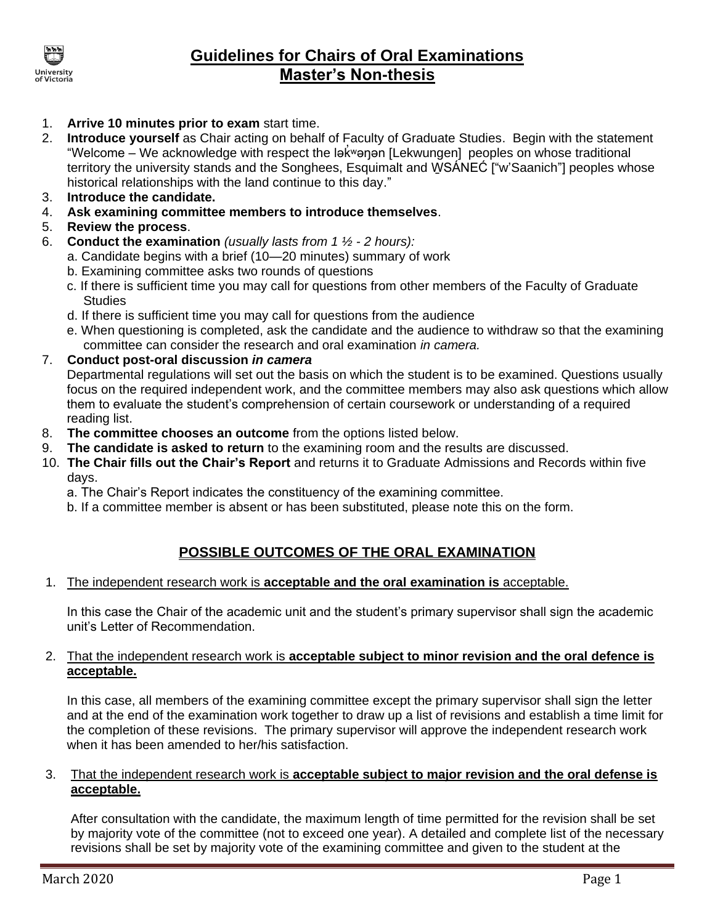

# **Guidelines for Chairs of Oral Examinations Master's Non-thesis**

- 1. **Arrive 10 minutes prior to exam** start time.
- 2. **Introduce yourself** as Chair acting on behalf of Faculty of Graduate Studies. Begin with the statement "Welcome - We acknowledge with respect the lak vanan [Lekwungen] peoples on whose traditional territory the university stands and the Songhees, Esquimalt and WSÁNEĆ ["w'Saanich"] peoples whose historical relationships with the land continue to this day."
- 3. **Introduce the candidate.**
- 4. **Ask examining committee members to introduce themselves**.
- 5. **Review the process**.
- 6. **Conduct the examination** *(usually lasts from 1 ½ - 2 hours):*
	- a. Candidate begins with a brief (10—20 minutes) summary of work
	- b. Examining committee asks two rounds of questions
	- c. If there is sufficient time you may call for questions from other members of the Faculty of Graduate **Studies**
	- d. If there is sufficient time you may call for questions from the audience
	- e. When questioning is completed, ask the candidate and the audience to withdraw so that the examining committee can consider the research and oral examination *in camera.*
- 7. **Conduct post-oral discussion** *in camera*

Departmental regulations will set out the basis on which the student is to be examined. Questions usually focus on the required independent work, and the committee members may also ask questions which allow them to evaluate the student's comprehension of certain coursework or understanding of a required reading list.

- 8. **The committee chooses an outcome** from the options listed below.
- 9. **The candidate is asked to return** to the examining room and the results are discussed.
- 10. **The Chair fills out the Chair's Report** and returns it to Graduate Admissions and Records within five days.
	- a. The Chair's Report indicates the constituency of the examining committee.
	- b. If a committee member is absent or has been substituted, please note this on the form.

## **POSSIBLE OUTCOMES OF THE ORAL EXAMINATION**

#### 1. The independent research work is **acceptable and the oral examination is** acceptable.

In this case the Chair of the academic unit and the student's primary supervisor shall sign the academic unit's Letter of Recommendation.

### 2. That the independent research work is **acceptable subject to minor revision and the oral defence is acceptable.**

In this case, all members of the examining committee except the primary supervisor shall sign the letter and at the end of the examination work together to draw up a list of revisions and establish a time limit for the completion of these revisions. The primary supervisor will approve the independent research work when it has been amended to her/his satisfaction.

### 3. That the independent research work is **acceptable subject to major revision and the oral defense is acceptable.**

After consultation with the candidate, the maximum length of time permitted for the revision shall be set by majority vote of the committee (not to exceed one year). A detailed and complete list of the necessary revisions shall be set by majority vote of the examining committee and given to the student at the